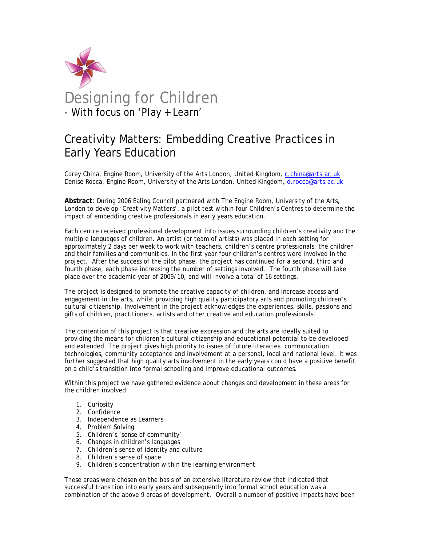

# Creativity Matters: Embedding Creative Practices in Early Years Education

Corey China, Engine Room, University of the Arts London, United Kingdom, c.china@arts.ac.uk Denise Rocca, Engine Room, University of the Arts London, United Kingdom, d.rocca@arts.ac.uk

**Abstract**: During 2006 Ealing Council partnered with The Engine Room, University of the Arts, London to develop 'Creativity Matters', a pilot test within four Children's Centres to determine the impact of embedding creative professionals in early years education.

Each centre received professional development into issues surrounding children's creativity and the multiple languages of children. An artist (or team of artists) was placed in each setting for approximately 2 days per week to work with teachers, children's centre professionals, the children and their families and communities. In the first year four children's centres were involved in the project. After the success of the pilot phase, the project has continued for a second, third and fourth phase, each phase increasing the number of settings involved. The fourth phase will take place over the academic year of 2009/10, and will involve a total of 16 settings.

The project is designed to promote the creative capacity of children, and increase access and engagement in the arts, whilst providing high quality participatory arts and promoting children's cultural citizenship. Involvement in the project acknowledges the experiences, skills, passions and gifts of children, practitioners, artists and other creative and education professionals.

The contention of this project is that creative expression and the arts are ideally suited to providing the means for children's cultural citizenship and educational potential to be developed and extended. The project gives high priority to issues of future literacies, communication technologies, community acceptance and involvement at a personal, local and national level. It was further suggested that high quality arts involvement in the early years could have a positive benefit on a child's transition into formal schooling and improve educational outcomes.

Within this project we have gathered evidence about changes and development in these areas for the children involved:

- 1. Curiosity
- 2. Confidence
- 3. Independence as Learners
- 4. Problem Solving
- 5. Children's 'sense of community'
- 6. Changes in children's languages
- 7. Children's sense of identity and culture
- 8. Children's sense of space
- 9. Children's concentration within the learning environment

These areas were chosen on the basis of an extensive literature review that indicated that successful transition into early years and subsequently into formal school education was a combination of the above 9 areas of development. Overall a number of positive impacts have been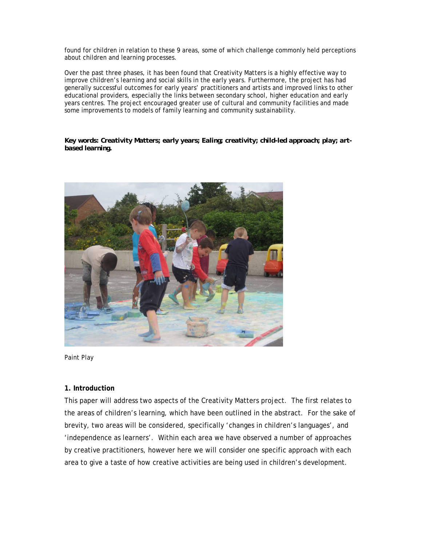found for children in relation to these 9 areas, some of which challenge commonly held perceptions about children and learning processes.

Over the past three phases, it has been found that Creativity Matters is a highly effective way to improve children's learning and social skills in the early years. Furthermore, the project has had generally successful outcomes for early years' practitioners and artists and improved links to other educational providers, especially the links between secondary school, higher education and early years centres. The project encouraged greater use of cultural and community facilities and made some improvements to models of family learning and community sustainability.

*Key words: Creativity Matters; early years; Ealing; creativity; child-led approach; play; artbased learning.* 



Paint Play

## **1. Introduction**

This paper will address two aspects of the Creativity Matters project. The first relates to the areas of children's learning, which have been outlined in the abstract. For the sake of brevity, two areas will be considered, specifically 'changes in children's languages', and 'independence as learners'. Within each area we have observed a number of approaches by creative practitioners, however here we will consider one specific approach with each area to give a taste of how creative activities are being used in children's development.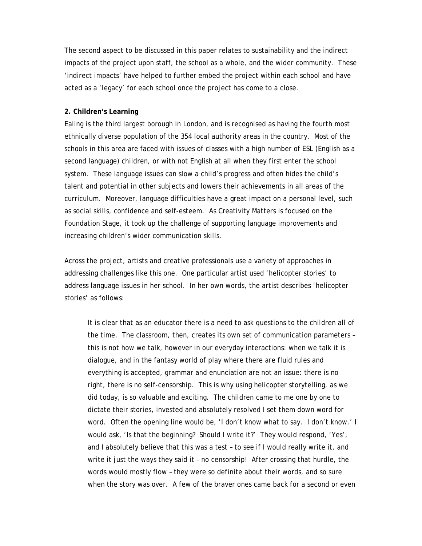The second aspect to be discussed in this paper relates to sustainability and the indirect impacts of the project upon staff, the school as a whole, and the wider community. These 'indirect impacts' have helped to further embed the project within each school and have acted as a 'legacy' for each school once the project has come to a close.

#### **2. Children's Learning**

Ealing is the third largest borough in London, and is recognised as having the fourth most ethnically diverse population of the 354 local authority areas in the country. Most of the schools in this area are faced with issues of classes with a high number of ESL (English as a second language) children, or with not English at all when they first enter the school system. These language issues can slow a child's progress and often hides the child's talent and potential in other subjects and lowers their achievements in all areas of the curriculum. Moreover, language difficulties have a great impact on a personal level, such as social skills, confidence and self-esteem. As Creativity Matters is focused on the Foundation Stage, it took up the challenge of supporting language improvements and increasing children's wider communication skills.

Across the project, artists and creative professionals use a variety of approaches in addressing challenges like this one. One particular artist used 'helicopter stories' to address language issues in her school. In her own words, the artist describes 'helicopter stories' as follows:

 It is clear that as an educator there is a need to ask questions to the children all of the time. The classroom, then, creates its own set of communication parameters – this is not how we talk, however in our everyday interactions: when we talk it is dialogue, and in the fantasy world of play where there are fluid rules and everything is accepted, grammar and enunciation are not an issue: there is no right, there is no self-censorship. This is why using helicopter storytelling, as we did today, is so valuable and exciting. The children came to me one by one to dictate their stories, invested and absolutely resolved I set them down word for word. Often the opening line would be, 'I don't know what to say. I don't know.' I would ask, 'Is that the beginning? Should I write it?' They would respond, 'Yes', and I absolutely believe that this was a test – to see if I would really write it, and write it just the ways they said it – no censorship! After crossing that hurdle, the words would mostly flow – they were so definite about their words, and so sure when the story was over. A few of the braver ones came back for a second or even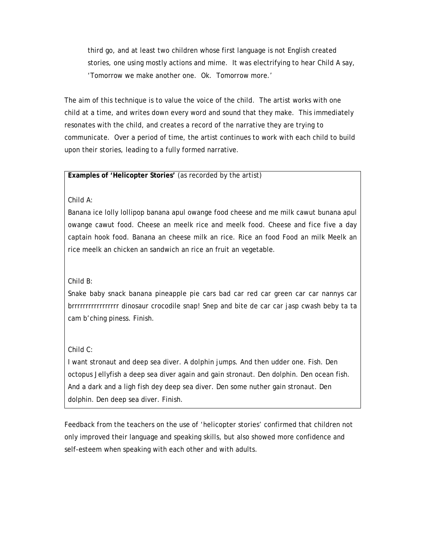third go, and at least two children whose first language is not English created stories, one using mostly actions and mime. It was electrifying to hear Child A say, 'Tomorrow we make another one. Ok. Tomorrow more.'

The aim of this technique is to value the voice of the child. The artist works with one child at a time, and writes down every word and sound that they make. This immediately resonates with the child, and creates a record of the narrative they are trying to communicate. Over a period of time, the artist continues to work with each child to build upon their stories, leading to a fully formed narrative.

## **Examples of 'Helicopter Stories'** (as recorded by the artist)

Child A:

Banana ice lolly lollipop banana apul owange food cheese and me milk cawut bunana apul owange cawut food. Cheese an meelk rice and meelk food. Cheese and fice five a day captain hook food. Banana an cheese milk an rice. Rice an food Food an milk Meelk an rice meelk an chicken an sandwich an rice an fruit an vegetable.

Child B:

Snake baby snack banana pineapple pie cars bad car red car green car car nannys car brrrrrrrrrrrrrrrrr dinosaur crocodile snap! Snep and bite de car car jasp cwash beby ta ta cam b'ching piness. Finish.

Child C:

I want stronaut and deep sea diver. A dolphin jumps. And then udder one. Fish. Den octopus Jellyfish a deep sea diver again and gain stronaut. Den dolphin. Den ocean fish. And a dark and a ligh fish dey deep sea diver. Den some nuther gain stronaut. Den dolphin. Den deep sea diver. Finish.

Feedback from the teachers on the use of 'helicopter stories' confirmed that children not only improved their language and speaking skills, but also showed more confidence and self-esteem when speaking with each other and with adults.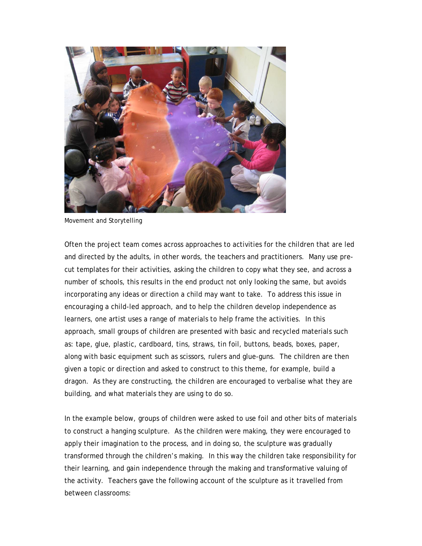

Movement and Storytelling

Often the project team comes across approaches to activities for the children that are led and directed by the adults, in other words, the teachers and practitioners. Many use precut templates for their activities, asking the children to copy what they see, and across a number of schools, this results in the end product not only looking the same, but avoids incorporating any ideas or direction a child may want to take. To address this issue in encouraging a child-led approach, and to help the children develop independence as learners, one artist uses a range of materials to help frame the activities. In this approach, small groups of children are presented with basic and recycled materials such as: tape, glue, plastic, cardboard, tins, straws, tin foil, buttons, beads, boxes, paper, along with basic equipment such as scissors, rulers and glue-guns. The children are then given a topic or direction and asked to construct to this theme, for example, build a dragon. As they are constructing, the children are encouraged to verbalise what they are building, and what materials they are using to do so.

In the example below, groups of children were asked to use foil and other bits of materials to construct a hanging sculpture. As the children were making, they were encouraged to apply their imagination to the process, and in doing so, the sculpture was gradually transformed through the children's making. In this way the children take responsibility for their learning, and gain independence through the making and transformative valuing of the activity. Teachers gave the following account of the sculpture as it travelled from between classrooms: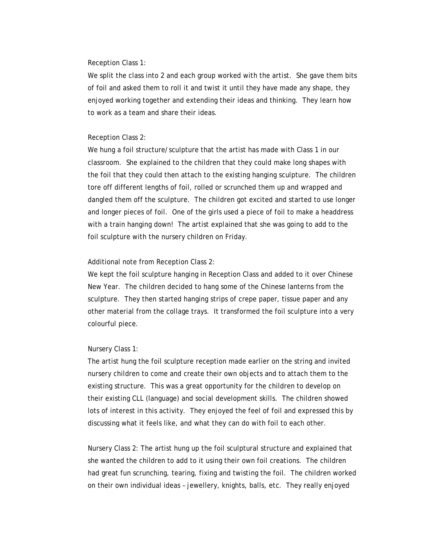#### Reception Class 1:

We split the class into 2 and each group worked with the artist. She gave them bits of foil and asked them to roll it and twist it until they have made any shape, they enjoyed working together and extending their ideas and thinking. They learn how to work as a team and share their ideas.

#### Reception Class 2:

We hung a foil structure/sculpture that the artist has made with Class 1 in our classroom. She explained to the children that they could make long shapes with the foil that they could then attach to the existing hanging sculpture. The children tore off different lengths of foil, rolled or scrunched them up and wrapped and dangled them off the sculpture. The children got excited and started to use longer and longer pieces of foil. One of the girls used a piece of foil to make a headdress with a train hanging down! The artist explained that she was going to add to the foil sculpture with the nursery children on Friday.

#### Additional note from Reception Class 2:

We kept the foil sculpture hanging in Reception Class and added to it over Chinese New Year. The children decided to hang some of the Chinese lanterns from the sculpture. They then started hanging strips of crepe paper, tissue paper and any other material from the collage trays. It transformed the foil sculpture into a very colourful piece.

#### Nursery Class 1:

The artist hung the foil sculpture reception made earlier on the string and invited nursery children to come and create their own objects and to attach them to the existing structure. This was a great opportunity for the children to develop on their existing CLL (language) and social development skills. The children showed lots of interest in this activity. They enjoyed the feel of foil and expressed this by discussing what it feels like, and what they can do with foil to each other.

Nursery Class 2: The artist hung up the foil sculptural structure and explained that she wanted the children to add to it using their own foil creations. The children had great fun scrunching, tearing, fixing and twisting the foil. The children worked on their own individual ideas – jewellery, knights, balls, etc. They really enjoyed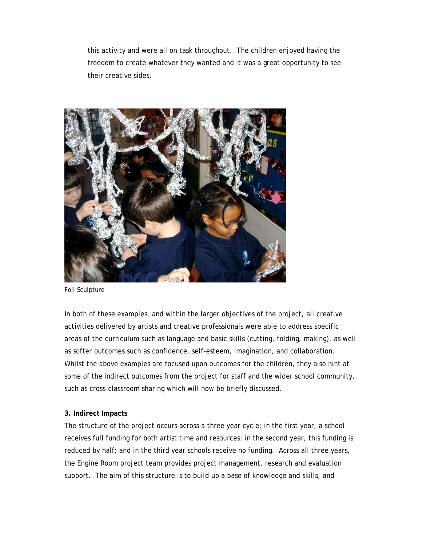this activity and were all on task throughout. The children enjoyed having the freedom to create whatever they wanted and it was a great opportunity to see their creative sides.



Foil Sculpture

In both of these examples, and within the larger objectives of the project, all creative activities delivered by artists and creative professionals were able to address specific areas of the curriculum such as language and basic skills (cutting, folding, making), as well as softer outcomes such as confidence, self-esteem, imagination, and collaboration. Whilst the above examples are focused upon outcomes for the children, they also hint at some of the indirect outcomes from the project for staff and the wider school community, such as cross-classroom sharing which will now be briefly discussed.

## **3. Indirect Impacts**

The structure of the project occurs across a three year cycle; in the first year, a school receives full funding for both artist time and resources; in the second year, this funding is reduced by half; and in the third year schools receive no funding. Across all three years, the Engine Room project team provides project management, research and evaluation support. The aim of this structure is to build up a base of knowledge and skills, and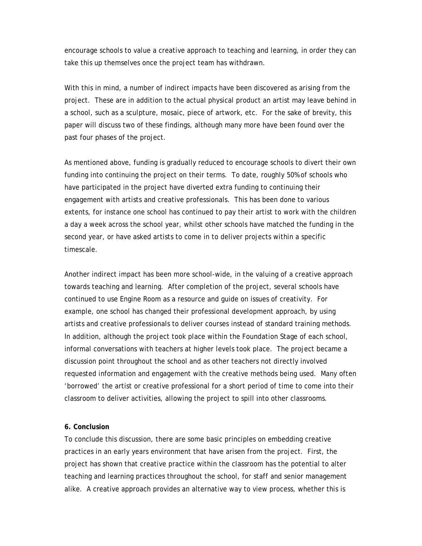encourage schools to value a creative approach to teaching and learning, in order they can take this up themselves once the project team has withdrawn.

With this in mind, a number of indirect impacts have been discovered as arising from the project. These are in addition to the actual physical product an artist may leave behind in a school, such as a sculpture, mosaic, piece of artwork, etc. For the sake of brevity, this paper will discuss two of these findings, although many more have been found over the past four phases of the project.

As mentioned above, funding is gradually reduced to encourage schools to divert their own funding into continuing the project on their terms. To date, roughly 50% of schools who have participated in the project have diverted extra funding to continuing their engagement with artists and creative professionals. This has been done to various extents, for instance one school has continued to pay their artist to work with the children a day a week across the school year, whilst other schools have matched the funding in the second year, or have asked artists to come in to deliver projects within a specific timescale.

Another indirect impact has been more school-wide, in the valuing of a creative approach towards teaching and learning. After completion of the project, several schools have continued to use Engine Room as a resource and guide on issues of creativity. For example, one school has changed their professional development approach, by using artists and creative professionals to deliver courses instead of standard training methods. In addition, although the project took place within the Foundation Stage of each school, informal conversations with teachers at higher levels took place. The project became a discussion point throughout the school and as other teachers not directly involved requested information and engagement with the creative methods being used. Many often 'borrowed' the artist or creative professional for a short period of time to come into their classroom to deliver activities, allowing the project to spill into other classrooms.

### **6. Conclusion**

To conclude this discussion, there are some basic principles on embedding creative practices in an early years environment that have arisen from the project. First, the project has shown that creative practice within the classroom has the potential to alter teaching and learning practices throughout the school, for staff and senior management alike. A creative approach provides an alternative way to view process, whether this is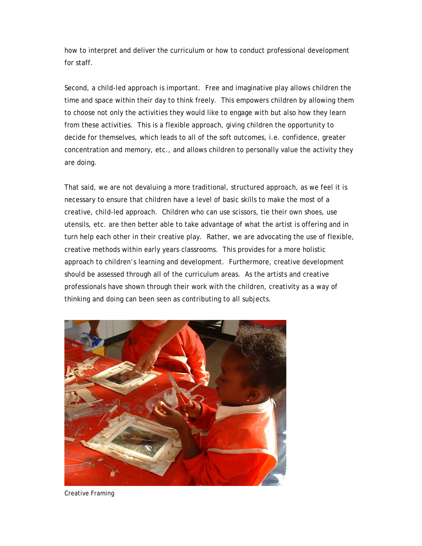how to interpret and deliver the curriculum or how to conduct professional development for staff.

Second, a child-led approach is important. Free and imaginative play allows children the time and space within their day to think freely. This empowers children by allowing them to choose not only the activities they would like to engage with but also how they learn from these activities. This is a flexible approach, giving children the opportunity to decide for themselves, which leads to all of the soft outcomes, i.e. confidence, greater concentration and memory, etc., and allows children to personally value the activity they are doing.

That said, we are not devaluing a more traditional, structured approach, as we feel it is necessary to ensure that children have a level of basic skills to make the most of a creative, child-led approach. Children who can use scissors, tie their own shoes, use utensils, etc. are then better able to take advantage of what the artist is offering and in turn help each other in their creative play. Rather, we are advocating the use of flexible, creative methods within early years classrooms. This provides for a more holistic approach to children's learning and development. Furthermore, creative development should be assessed through all of the curriculum areas. As the artists and creative professionals have shown through their work with the children, creativity as a way of thinking and doing can been seen as contributing to all subjects.



Creative Framing